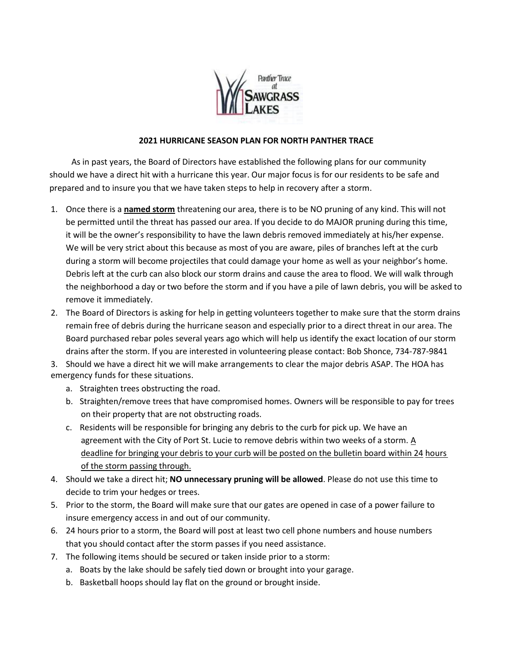

## **2021 HURRICANE SEASON PLAN FOR NORTH PANTHER TRACE**

As in past years, the Board of Directors have established the following plans for our community should we have a direct hit with a hurricane this year. Our major focus is for our residents to be safe and prepared and to insure you that we have taken steps to help in recovery after a storm.

- 1. Once there is a **named storm** threatening our area, there is to be NO pruning of any kind. This will not be permitted until the threat has passed our area. If you decide to do MAJOR pruning during this time, it will be the owner's responsibility to have the lawn debris removed immediately at his/her expense. We will be very strict about this because as most of you are aware, piles of branches left at the curb during a storm will become projectiles that could damage your home as well as your neighbor's home. Debris left at the curb can also block our storm drains and cause the area to flood. We will walk through the neighborhood a day or two before the storm and if you have a pile of lawn debris, you will be asked to remove it immediately.
- 2. The Board of Directors is asking for help in getting volunteers together to make sure that the storm drains remain free of debris during the hurricane season and especially prior to a direct threat in our area. The Board purchased rebar poles several years ago which will help us identify the exact location of our storm drains after the storm. If you are interested in volunteering please contact: Bob Shonce, 734-787-9841

3. Should we have a direct hit we will make arrangements to clear the major debris ASAP. The HOA has emergency funds for these situations.

- a. Straighten trees obstructing the road.
- b. Straighten/remove trees that have compromised homes. Owners will be responsible to pay for trees on their property that are not obstructing roads.
- c. Residents will be responsible for bringing any debris to the curb for pick up. We have an agreement with the City of Port St. Lucie to remove debris within two weeks of a storm.  $\underline{A}$ deadline for bringing your debris to your curb will be posted on the bulletin board within 24 hours of the storm passing through.
- 4. Should we take a direct hit; **NO unnecessary pruning will be allowed**. Please do not use this time to decide to trim your hedges or trees.
- 5. Prior to the storm, the Board will make sure that our gates are opened in case of a power failure to insure emergency access in and out of our community.
- 6. 24 hours prior to a storm, the Board will post at least two cell phone numbers and house numbers that you should contact after the storm passes if you need assistance.
- 7. The following items should be secured or taken inside prior to a storm:
	- a. Boats by the lake should be safely tied down or brought into your garage.
	- b. Basketball hoops should lay flat on the ground or brought inside.